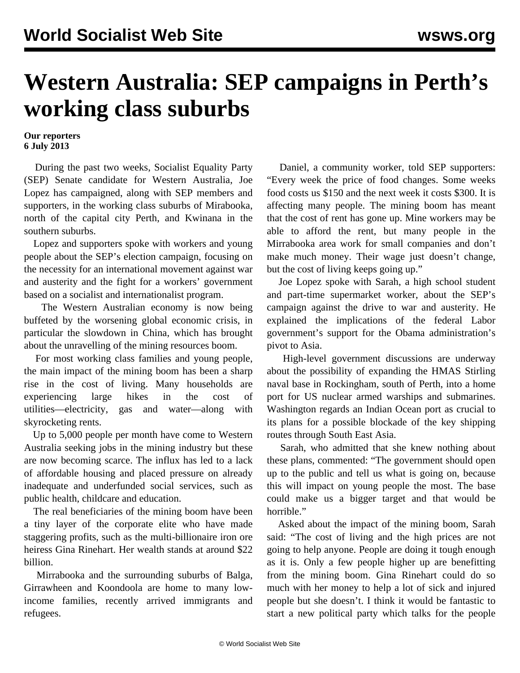## **Western Australia: SEP campaigns in Perth's working class suburbs**

## **Our reporters 6 July 2013**

 During the past two weeks, Socialist Equality Party (SEP) Senate candidate for Western Australia, Joe Lopez has campaigned, along with SEP members and supporters, in the working class suburbs of Mirabooka, north of the capital city Perth, and Kwinana in the southern suburbs.

 Lopez and supporters spoke with workers and young people about the SEP's election campaign, focusing on the necessity for an international movement against war and austerity and the fight for a workers' government based on a socialist and internationalist program.

 The Western Australian economy is now being buffeted by the worsening global economic crisis, in particular the slowdown in China, which has brought about the unravelling of the mining resources boom.

 For most working class families and young people, the main impact of the mining boom has been a sharp rise in the cost of living. Many households are experiencing large hikes in the cost of utilities—electricity, gas and water—along with skyrocketing rents.

 Up to 5,000 people per month have come to Western Australia seeking jobs in the mining industry but these are now becoming scarce. The influx has led to a lack of affordable housing and placed pressure on already inadequate and underfunded social services, such as public health, childcare and education.

 The real beneficiaries of the mining boom have been a tiny layer of the corporate elite who have made staggering profits, such as the multi-billionaire iron ore heiress Gina Rinehart. Her wealth stands at around \$22 billion.

 Mirrabooka and the surrounding suburbs of Balga, Girrawheen and Koondoola are home to many lowincome families, recently arrived immigrants and refugees.

 Daniel, a community worker, told SEP supporters: "Every week the price of food changes. Some weeks food costs us \$150 and the next week it costs \$300. It is affecting many people. The mining boom has meant that the cost of rent has gone up. Mine workers may be able to afford the rent, but many people in the Mirrabooka area work for small companies and don't make much money. Their wage just doesn't change, but the cost of living keeps going up."

 Joe Lopez spoke with Sarah, a high school student and part-time supermarket worker, about the SEP's campaign against the drive to war and austerity. He explained the implications of the federal Labor government's support for the Obama administration's pivot to Asia.

 High-level government discussions are underway about the possibility of expanding the HMAS Stirling naval base in Rockingham, south of Perth, into a home port for US nuclear armed warships and submarines. Washington regards an Indian Ocean port as crucial to its plans for a possible blockade of the key shipping routes through South East Asia.

 Sarah, who admitted that she knew nothing about these plans, commented: "The government should open up to the public and tell us what is going on, because this will impact on young people the most. The base could make us a bigger target and that would be horrible."

 Asked about the impact of the mining boom, Sarah said: "The cost of living and the high prices are not going to help anyone. People are doing it tough enough as it is. Only a few people higher up are benefitting from the mining boom. Gina Rinehart could do so much with her money to help a lot of sick and injured people but she doesn't. I think it would be fantastic to start a new political party which talks for the people